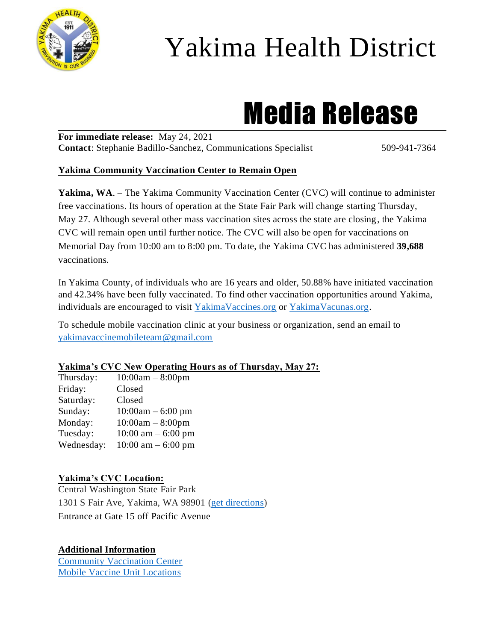

## Yakima Health District

# Media Release

**For immediate release:** May 24, 2021 **Contact:** Stephanie Badillo-Sanchez, Communications Specialist 509-941-7364

#### **Yakima Community Vaccination Center to Remain Open**

Yakima, WA. – The Yakima Community Vaccination Center (CVC) will continue to administer free vaccinations. Its hours of operation at the State Fair Park will change starting Thursday, May 27. Although several other mass vaccination sites across the state are closing, the Yakima CVC will remain open until further notice. The CVC will also be open for vaccinations on Memorial Day from 10:00 am to 8:00 pm. To date, the Yakima CVC has administered **39,688**  vaccinations.

In Yakima County, of individuals who are 16 years and older, 50.88% have initiated vaccination and 42.34% have been fully vaccinated. To find other vaccination opportunities around Yakima, individuals are encouraged to visit [YakimaVaccines.org](https://www.yakimacounty.us/2472/COVID-19-Vaccine) or [YakimaVacunas.org.](https://www.yakimacounty.us/2510/VACUNA-CONTRA-COVID-19)

To schedule mobile vaccination clinic at your business or organization, send an email to [yakimavaccinemobileteam@gmail.com](mailto:yakimavaccinemobileteam@gmail.com)

#### **Yakima's CVC New Operating Hours as of Thursday, May 27:**

| Thursday:  | $10:00am - 8:00pm$   |
|------------|----------------------|
| Friday:    | Closed               |
| Saturday:  | Closed               |
| Sunday:    | $10:00am - 6:00 pm$  |
| Monday:    | $10:00am - 8:00pm$   |
| Tuesday:   | 10:00 am $-$ 6:00 pm |
| Wednesday: | 10:00 am $-$ 6:00 pm |

#### **Yakima's CVC Location:**

Central Washington State Fair Park 1301 S Fair Ave, Yakima, WA 98901 [\(get directions\)](https://goo.gl/maps/RqafbRER7M8cBszr8) Entrance at Gate 15 off Pacific Avenue

#### **Additional Information**

[Community Vaccination Center](https://www.yakimacounty.us/2472/COVID-19-Vaccine) [Mobile Vaccine Unit Locations](https://www.yakimacounty.us/2472/COVID-19-Vaccine)